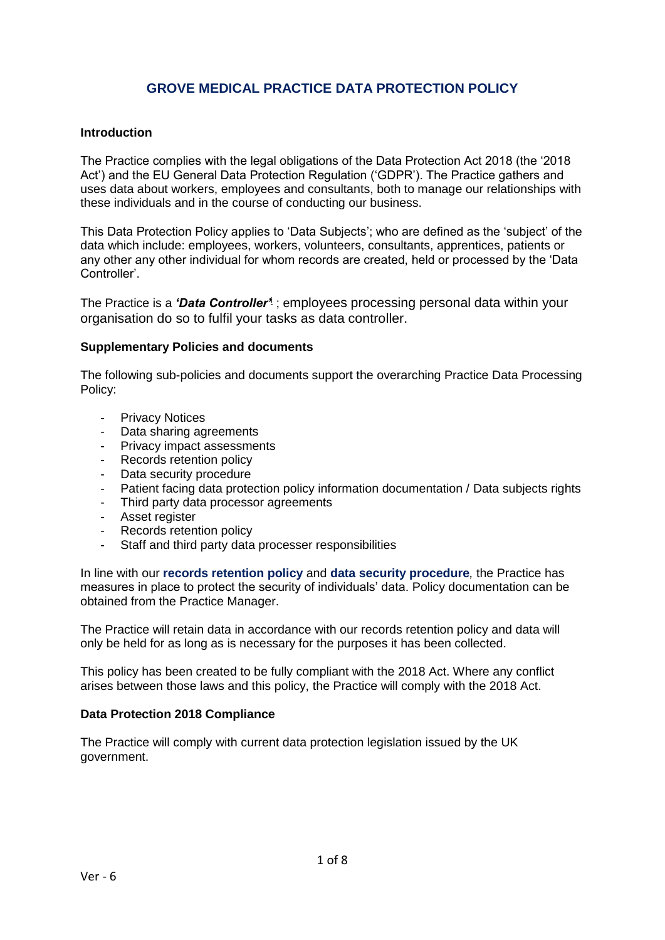# **GROVE MEDICAL PRACTICE DATA PROTECTION POLICY**

#### **Introduction**

The Practice complies with the legal obligations of the Data Protection Act 2018 (the '2018 Act') and the EU General Data Protection Regulation ('GDPR'). The Practice gathers and uses data about workers, employees and consultants, both to manage our relationships with these individuals and in the course of conducting our business.

This Data Protection Policy applies to 'Data Subjects'; who are defined as the 'subject' of the data which include: employees, workers, volunteers, consultants, apprentices, patients or any other any other individual for whom records are created, held or processed by the 'Data Controller'.

The Practice is a *'Data Controller'*<sup>i</sup> ; employees processing personal data within your organisation do so to fulfil your tasks as data controller.

#### **Supplementary Policies and documents**

The following sub-policies and documents support the overarching Practice Data Processing Policy:

- Privacy Notices
- Data sharing agreements
- Privacy impact assessments
- Records retention policy
- Data security procedure
- Patient facing data protection policy information documentation / Data subjects rights
- Third party data processor agreements
- Asset register
- Records retention policy
- Staff and third party data processer responsibilities

In line with our **records retention policy** and **data security procedure***,* the Practice has measures in place to protect the security of individuals' data. Policy documentation can be obtained from the Practice Manager.

The Practice will retain data in accordance with our records retention policy and data will only be held for as long as is necessary for the purposes it has been collected.

This policy has been created to be fully compliant with the 2018 Act. Where any conflict arises between those laws and this policy, the Practice will comply with the 2018 Act.

### **Data Protection 2018 Compliance**

The Practice will comply with current data protection legislation issued by the UK government.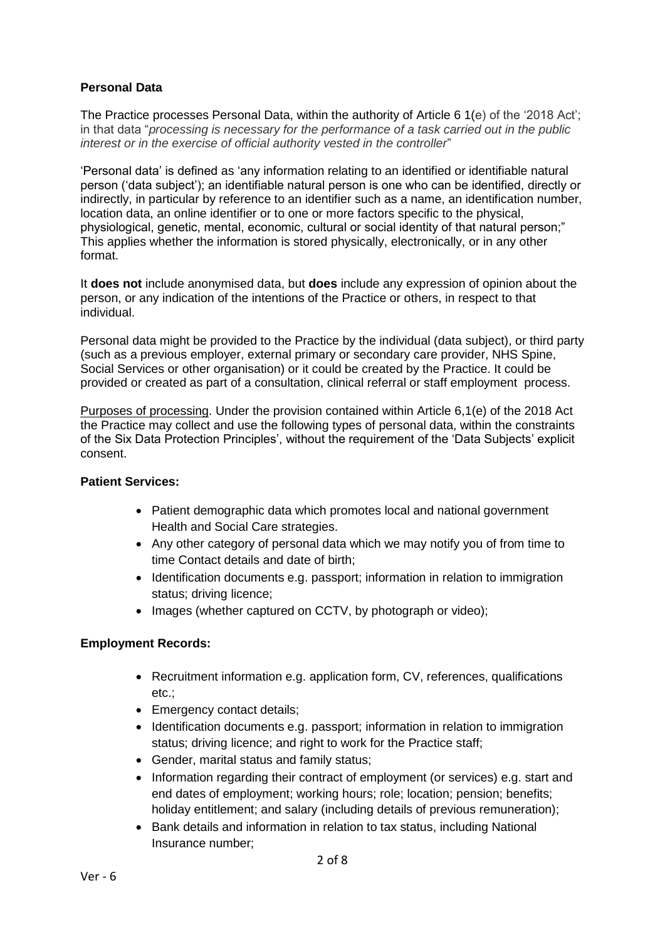## **Personal Data**

The Practice processes Personal Data, within the authority of Article 6 1(e) of the '2018 Act'; in that data "*processing is necessary for the performance of a task carried out in the public interest or in the exercise of official authority vested in the controller*"

'Personal data' is defined as 'any information relating to an identified or identifiable natural person ('data subject'); an identifiable natural person is one who can be identified, directly or indirectly, in particular by reference to an identifier such as a name, an identification number, location data, an online identifier or to one or more factors specific to the physical, physiological, genetic, mental, economic, cultural or social identity of that natural person;" This applies whether the information is stored physically, electronically, or in any other format.

It **does not** include anonymised data, but **does** include any expression of opinion about the person, or any indication of the intentions of the Practice or others, in respect to that individual.

Personal data might be provided to the Practice by the individual (data subject), or third party (such as a previous employer, external primary or secondary care provider, NHS Spine, Social Services or other organisation) or it could be created by the Practice. It could be provided or created as part of a consultation, clinical referral or staff employment process.

Purposes of processing. Under the provision contained within Article 6,1(e) of the 2018 Act the Practice may collect and use the following types of personal data, within the constraints of the Six Data Protection Principles', without the requirement of the 'Data Subjects' explicit consent.

### **Patient Services:**

- Patient demographic data which promotes local and national government Health and Social Care strategies.
- Any other category of personal data which we may notify you of from time to time Contact details and date of birth;
- Identification documents e.g. passport; information in relation to immigration status; driving licence;
- Images (whether captured on CCTV, by photograph or video);

### **Employment Records:**

- Recruitment information e.g. application form, CV, references, qualifications etc.;
- Emergency contact details;
- Identification documents e.g. passport; information in relation to immigration status; driving licence; and right to work for the Practice staff;
- Gender, marital status and family status;
- Information regarding their contract of employment (or services) e.g. start and end dates of employment; working hours; role; location; pension; benefits; holiday entitlement; and salary (including details of previous remuneration);
- Bank details and information in relation to tax status, including National Insurance number;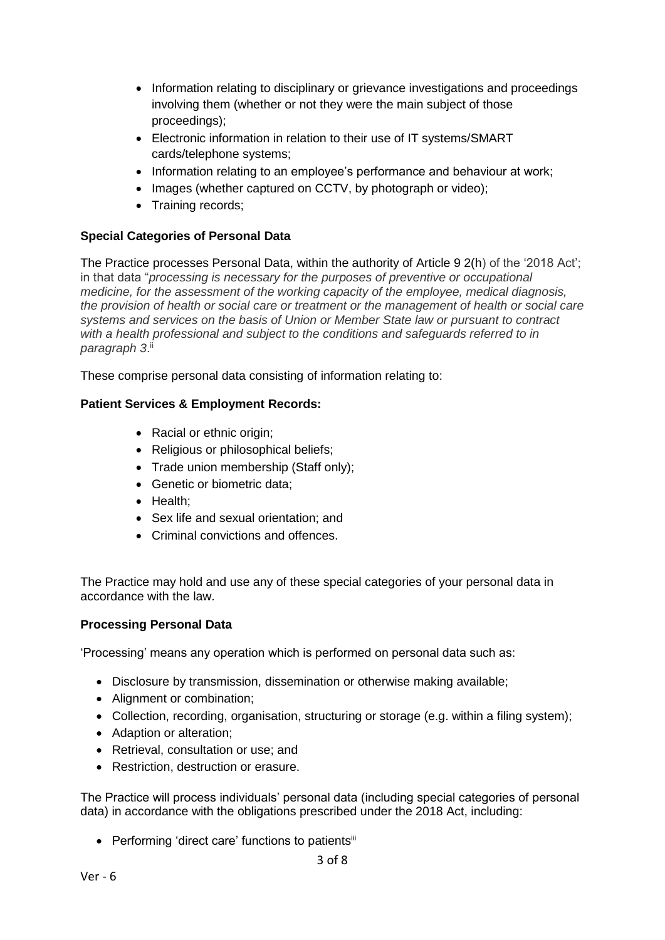- Information relating to disciplinary or grievance investigations and proceedings involving them (whether or not they were the main subject of those proceedings);
- Electronic information in relation to their use of IT systems/SMART cards/telephone systems;
- Information relating to an employee's performance and behaviour at work;
- Images (whether captured on CCTV, by photograph or video);
- Training records;

## **Special Categories of Personal Data**

The Practice processes Personal Data, within the authority of Article 9 2(h) of the '2018 Act'; in that data "*processing is necessary for the purposes of preventive or occupational medicine, for the assessment of the working capacity of the employee, medical diagnosis, the provision of health or social care or treatment or the management of health or social care systems and services on the basis of Union or Member State law or pursuant to contract with a health professional and subject to the conditions and safeguards referred to in paragraph 3*. ii

These comprise personal data consisting of information relating to:

## **Patient Services & Employment Records:**

- Racial or ethnic origin:
- Religious or philosophical beliefs;
- Trade union membership (Staff only);
- Genetic or biometric data:
- Health;
- Sex life and sexual orientation; and
- Criminal convictions and offences.

The Practice may hold and use any of these special categories of your personal data in accordance with the law.

### **Processing Personal Data**

'Processing' means any operation which is performed on personal data such as:

- Disclosure by transmission, dissemination or otherwise making available;
- Alignment or combination;
- Collection, recording, organisation, structuring or storage (e.g. within a filing system);
- Adaption or alteration;
- Retrieval, consultation or use; and
- Restriction, destruction or erasure.

The Practice will process individuals' personal data (including special categories of personal data) in accordance with the obligations prescribed under the 2018 Act, including:

• Performing 'direct care' functions to patientsiii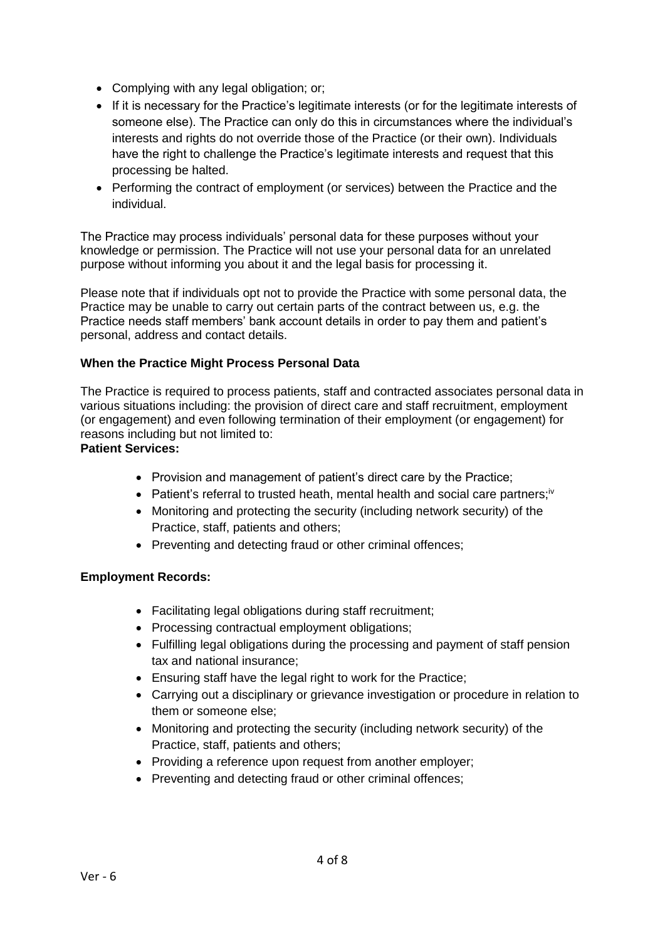- Complying with any legal obligation; or;
- If it is necessary for the Practice's legitimate interests (or for the legitimate interests of someone else). The Practice can only do this in circumstances where the individual's interests and rights do not override those of the Practice (or their own). Individuals have the right to challenge the Practice's legitimate interests and request that this processing be halted.
- Performing the contract of employment (or services) between the Practice and the individual.

The Practice may process individuals' personal data for these purposes without your knowledge or permission. The Practice will not use your personal data for an unrelated purpose without informing you about it and the legal basis for processing it.

Please note that if individuals opt not to provide the Practice with some personal data, the Practice may be unable to carry out certain parts of the contract between us, e.g. the Practice needs staff members' bank account details in order to pay them and patient's personal, address and contact details.

## **When the Practice Might Process Personal Data**

The Practice is required to process patients, staff and contracted associates personal data in various situations including: the provision of direct care and staff recruitment, employment (or engagement) and even following termination of their employment (or engagement) for reasons including but not limited to:

**Patient Services:**

- Provision and management of patient's direct care by the Practice;
- Patient's referral to trusted heath, mental health and social care partners; $iv$
- Monitoring and protecting the security (including network security) of the Practice, staff, patients and others;
- Preventing and detecting fraud or other criminal offences;

### **Employment Records:**

- Facilitating legal obligations during staff recruitment:
- Processing contractual employment obligations;
- Fulfilling legal obligations during the processing and payment of staff pension tax and national insurance;
- Ensuring staff have the legal right to work for the Practice;
- Carrying out a disciplinary or grievance investigation or procedure in relation to them or someone else;
- Monitoring and protecting the security (including network security) of the Practice, staff, patients and others;
- Providing a reference upon request from another employer;
- Preventing and detecting fraud or other criminal offences;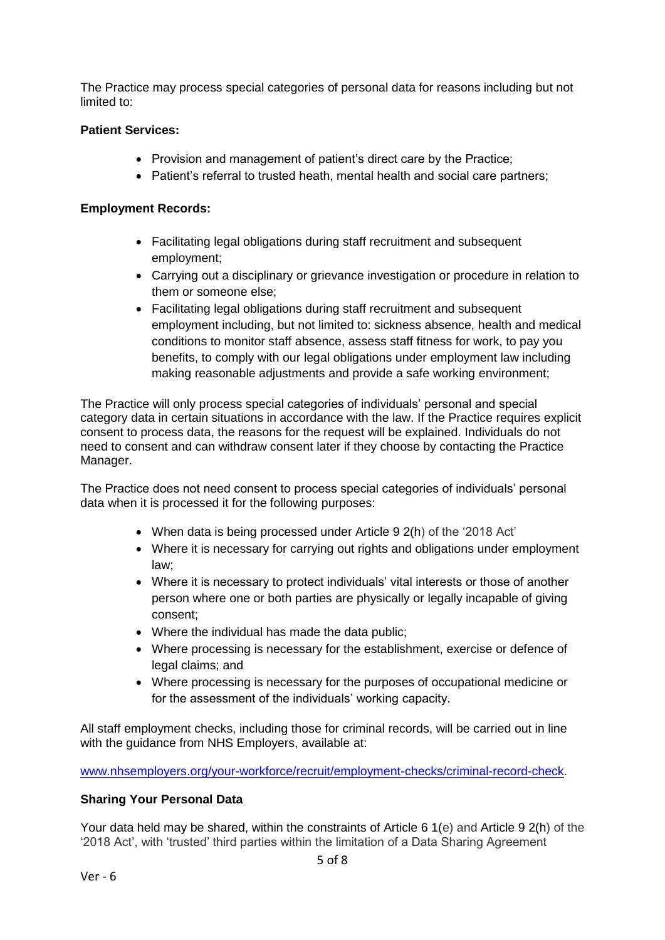The Practice may process special categories of personal data for reasons including but not limited to:

## **Patient Services:**

- Provision and management of patient's direct care by the Practice;
- Patient's referral to trusted heath, mental health and social care partners;

## **Employment Records:**

- Facilitating legal obligations during staff recruitment and subsequent employment;
- Carrying out a disciplinary or grievance investigation or procedure in relation to them or someone else;
- Facilitating legal obligations during staff recruitment and subsequent employment including, but not limited to: sickness absence, health and medical conditions to monitor staff absence, assess staff fitness for work, to pay you benefits, to comply with our legal obligations under employment law including making reasonable adjustments and provide a safe working environment;

The Practice will only process special categories of individuals' personal and special category data in certain situations in accordance with the law. If the Practice requires explicit consent to process data, the reasons for the request will be explained. Individuals do not need to consent and can withdraw consent later if they choose by contacting the Practice Manager.

The Practice does not need consent to process special categories of individuals' personal data when it is processed it for the following purposes:

- When data is being processed under Article 9 2(h) of the '2018 Act'
- Where it is necessary for carrying out rights and obligations under employment law;
- Where it is necessary to protect individuals' vital interests or those of another person where one or both parties are physically or legally incapable of giving consent;
- Where the individual has made the data public;
- Where processing is necessary for the establishment, exercise or defence of legal claims; and
- Where processing is necessary for the purposes of occupational medicine or for the assessment of the individuals' working capacity.

All staff employment checks, including those for criminal records, will be carried out in line with the guidance from NHS Employers, available at:

[www.nhsemployers.org/your-workforce/recruit/employment-checks/criminal-record-check.](http://www.nhsemployers.org/your-workforce/recruit/employment-checks/criminal-record-check)

### **Sharing Your Personal Data**

Your data held may be shared, within the constraints of Article 6 1(e) and Article 9 2(h) of the '2018 Act', with 'trusted' third parties within the limitation of a Data Sharing Agreement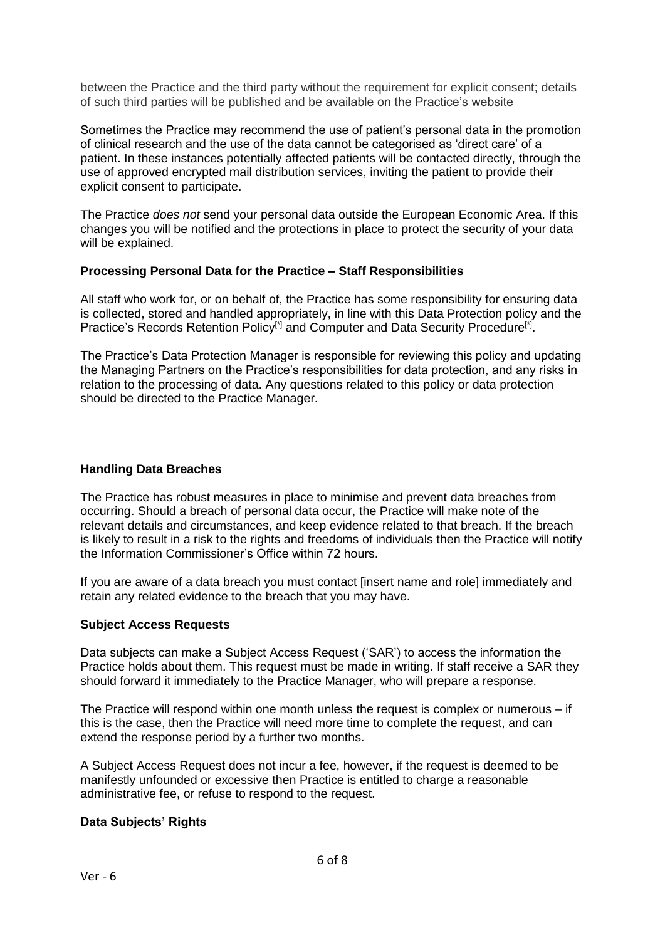between the Practice and the third party without the requirement for explicit consent; details of such third parties will be published and be available on the Practice's website

Sometimes the Practice may recommend the use of patient's personal data in the promotion of clinical research and the use of the data cannot be categorised as 'direct care' of a patient. In these instances potentially affected patients will be contacted directly, through the use of approved encrypted mail distribution services, inviting the patient to provide their explicit consent to participate.

The Practice *does not* send your personal data outside the European Economic Area. If this changes you will be notified and the protections in place to protect the security of your data will be explained.

#### **Processing Personal Data for the Practice – Staff Responsibilities**

All staff who work for, or on behalf of, the Practice has some responsibility for ensuring data is collected, stored and handled appropriately, in line with this Data Protection policy and the Practice's Records Retention Policy<sup>[\*]</sup> and Computer and Data Security Procedure<sup>[\*]</sup>.

The Practice's Data Protection Manager is responsible for reviewing this policy and updating the Managing Partners on the Practice's responsibilities for data protection, and any risks in relation to the processing of data. Any questions related to this policy or data protection should be directed to the Practice Manager.

#### **Handling Data Breaches**

The Practice has robust measures in place to minimise and prevent data breaches from occurring. Should a breach of personal data occur, the Practice will make note of the relevant details and circumstances, and keep evidence related to that breach. If the breach is likely to result in a risk to the rights and freedoms of individuals then the Practice will notify the Information Commissioner's Office within 72 hours.

If you are aware of a data breach you must contact [insert name and role] immediately and retain any related evidence to the breach that you may have.

#### **Subject Access Requests**

Data subjects can make a Subject Access Request ('SAR') to access the information the Practice holds about them. This request must be made in writing. If staff receive a SAR they should forward it immediately to the Practice Manager, who will prepare a response.

The Practice will respond within one month unless the request is complex or numerous – if this is the case, then the Practice will need more time to complete the request, and can extend the response period by a further two months.

A Subject Access Request does not incur a fee, however, if the request is deemed to be manifestly unfounded or excessive then Practice is entitled to charge a reasonable administrative fee, or refuse to respond to the request.

#### **Data Subjects' Rights**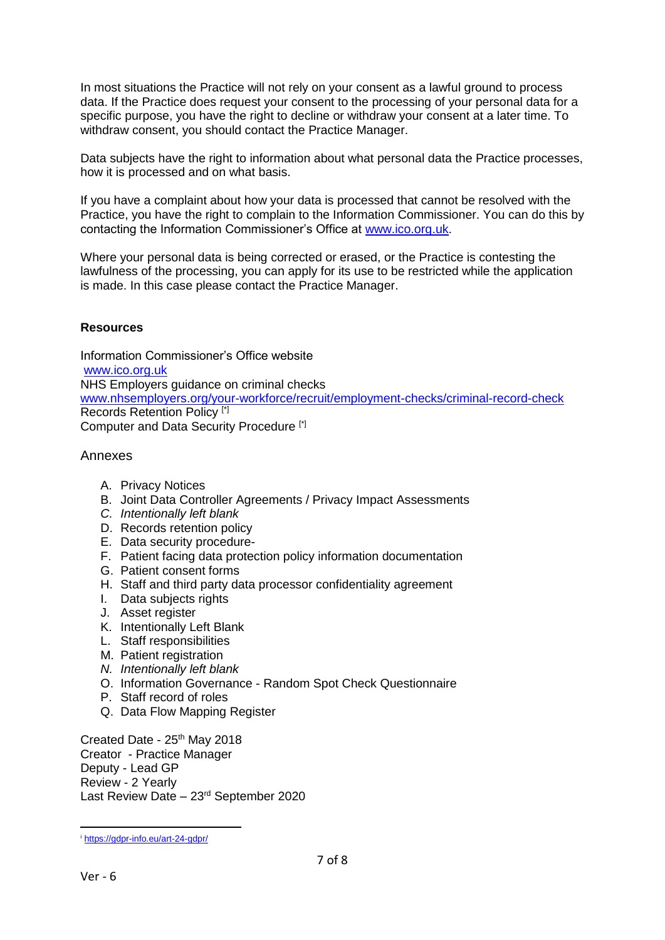In most situations the Practice will not rely on your consent as a lawful ground to process data. If the Practice does request your consent to the processing of your personal data for a specific purpose, you have the right to decline or withdraw your consent at a later time. To withdraw consent, you should contact the Practice Manager.

Data subjects have the right to information about what personal data the Practice processes, how it is processed and on what basis.

If you have a complaint about how your data is processed that cannot be resolved with the Practice, you have the right to complain to the Information Commissioner. You can do this by contacting the Information Commissioner's Office at [www.ico.org.uk.](http://www.ico.org.uk/)

Where your personal data is being corrected or erased, or the Practice is contesting the lawfulness of the processing, you can apply for its use to be restricted while the application is made. In this case please contact the Practice Manager.

#### **Resources**

Information Commissioner's Office website [www.ico.org.uk](http://www.ico.org.uk/) NHS Employers guidance on criminal checks [www.nhsemployers.org/your-workforce/recruit/employment-checks/criminal-record-check](http://www.nhsemployers.org/your-workforce/recruit/employment-checks/criminal-record-check) Records Retention Policy [\*] Computer and Data Security Procedure [\*]

#### Annexes

- A. Privacy Notices
- B. Joint Data Controller Agreements / Privacy Impact Assessments
- *C. Intentionally left blank*
- D. Records retention policy
- E. Data security procedure-
- F. Patient facing data protection policy information documentation
- G. Patient consent forms
- H. Staff and third party data processor confidentiality agreement
- I. Data subjects rights
- J. Asset register
- K. Intentionally Left Blank
- L. Staff responsibilities
- M. Patient registration
- *N. Intentionally left blank*
- O. Information Governance Random Spot Check Questionnaire
- P. Staff record of roles
- Q. Data Flow Mapping Register

Created Date - 25<sup>th</sup> May 2018 Creator - Practice Manager Deputy - Lead GP Review - 2 Yearly Last Review Date – 23rd September 2020

<sup>&</sup>lt;u>.</u> <sup>i</sup> <https://gdpr-info.eu/art-24-gdpr/>